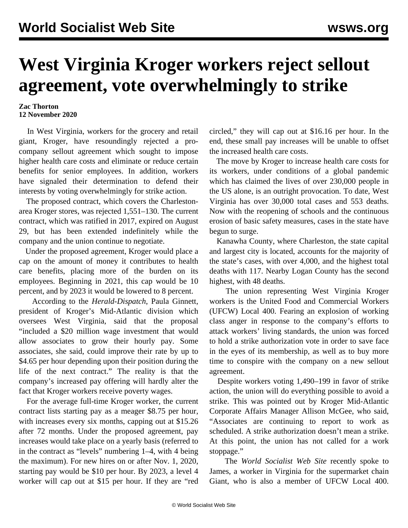## **West Virginia Kroger workers reject sellout agreement, vote overwhelmingly to strike**

## **Zac Thorton 12 November 2020**

 In West Virginia, workers for the grocery and retail giant, Kroger, have resoundingly rejected a procompany sellout agreement which sought to impose higher health care costs and eliminate or reduce certain benefits for senior employees. In addition, workers have signaled their determination to defend their interests by voting overwhelmingly for strike action.

 The proposed contract, which covers the Charlestonarea Kroger stores, was rejected 1,551–130. The current contract, which was ratified in 2017, expired on August 29, but has been extended indefinitely while the company and the union continue to negotiate.

 Under the proposed agreement, Kroger would place a cap on the amount of money it contributes to health care benefits, placing more of the burden on its employees. Beginning in 2021, this cap would be 10 percent, and by 2023 it would be lowered to 8 percent.

 According to the *Herald-Dispatch*, Paula Ginnett, president of Kroger's Mid-Atlantic division which oversees West Virginia, said that the proposal "included a \$20 million wage investment that would allow associates to grow their hourly pay. Some associates, she said, could improve their rate by up to \$4.65 per hour depending upon their position during the life of the next contract." The reality is that the company's increased pay offering will hardly alter the fact that Kroger workers receive poverty wages.

 For the average full-time Kroger worker, the current contract lists starting pay as a meager \$8.75 per hour, with increases every six months, capping out at \$15.26 after 72 months. Under the proposed agreement, pay increases would take place on a yearly basis (referred to in the contract as "levels" numbering 1–4, with 4 being the maximum). For new hires on or after Nov. 1, 2020, starting pay would be \$10 per hour. By 2023, a level 4 worker will cap out at \$15 per hour. If they are "red circled," they will cap out at \$16.16 per hour. In the end, these small pay increases will be unable to offset the increased health care costs.

 The move by Kroger to increase health care costs for its workers, under conditions of a global pandemic which has claimed the lives of over 230,000 people in the US alone, is an outright provocation. To date, West Virginia has over 30,000 total cases and 553 deaths. Now with the reopening of schools and the continuous erosion of basic safety measures, cases in the state have begun to surge.

 Kanawha County, where Charleston, the state capital and largest city is located, accounts for the majority of the state's cases, with over 4,000, and the highest total deaths with 117. Nearby Logan County has the second highest, with 48 deaths.

 The union representing West Virginia Kroger workers is the United Food and Commercial Workers (UFCW) Local 400. Fearing an explosion of working class anger in response to the company's efforts to attack workers' living standards, the union was forced to hold a strike authorization vote in order to save face in the eyes of its membership, as well as to buy more time to conspire with the company on a new sellout agreement.

 Despite workers voting 1,490–199 in favor of strike action, the union will do everything possible to avoid a strike. This was pointed out by Kroger Mid-Atlantic Corporate Affairs Manager Allison McGee, who said, "Associates are continuing to report to work as scheduled. A strike authorization doesn't mean a strike. At this point, the union has not called for a work stoppage."

 The *World Socialist Web Site* recently spoke to James, a worker in Virginia for the supermarket chain Giant, who is also a member of UFCW Local 400.